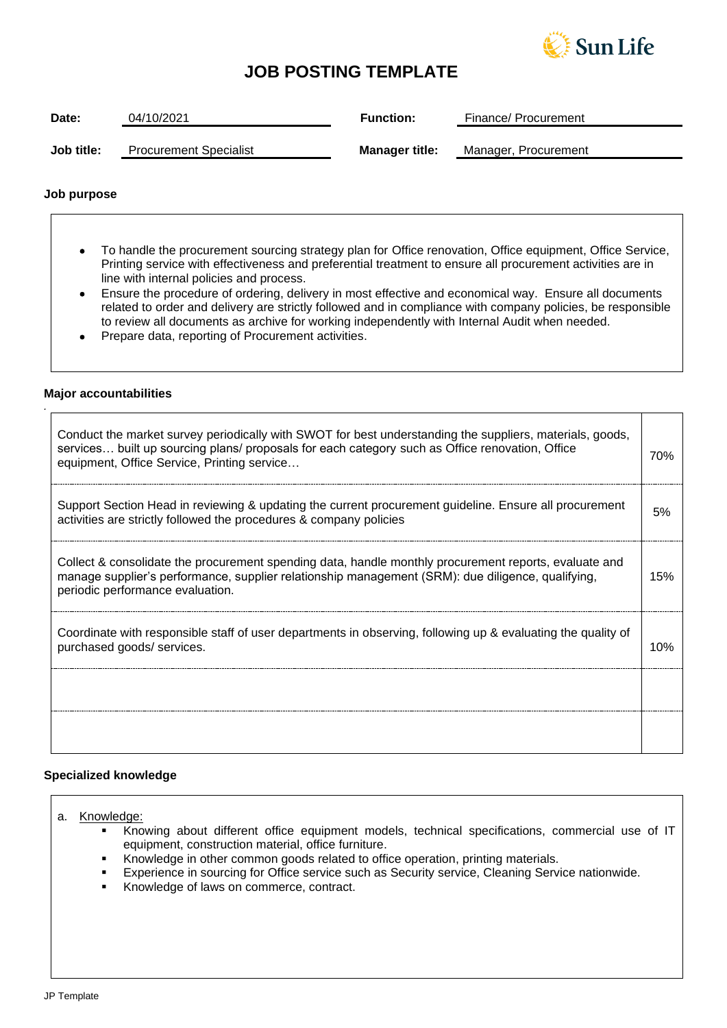

## **JOB POSTING TEMPLATE**

| Date:      | 04/10/2021                    | <b>Function:</b>      | Finance/ Procurement |
|------------|-------------------------------|-----------------------|----------------------|
| Job title: | <b>Procurement Specialist</b> | <b>Manager title:</b> | Manager, Procurement |

## **Job purpose**

- To handle the procurement sourcing strategy plan for Office renovation, Office equipment, Office Service, Printing service with effectiveness and preferential treatment to ensure all procurement activities are in line with internal policies and process.
- Ensure the procedure of ordering, delivery in most effective and economical way. Ensure all documents related to order and delivery are strictly followed and in compliance with company policies, be responsible to review all documents as archive for working independently with Internal Audit when needed.
- Prepare data, reporting of Procurement activities.

## **Major accountabilities**

*.*

| Conduct the market survey periodically with SWOT for best understanding the suppliers, materials, goods,<br>services built up sourcing plans/ proposals for each category such as Office renovation, Office<br>equipment, Office Service, Printing service | 70% |
|------------------------------------------------------------------------------------------------------------------------------------------------------------------------------------------------------------------------------------------------------------|-----|
| Support Section Head in reviewing & updating the current procurement guideline. Ensure all procurement<br>activities are strictly followed the procedures & company policies                                                                               | .5% |
| Collect & consolidate the procurement spending data, handle monthly procurement reports, evaluate and<br>manage supplier's performance, supplier relationship management (SRM): due diligence, qualifying,<br>periodic performance evaluation.             | 15% |
| Coordinate with responsible staff of user departments in observing, following up & evaluating the quality of<br>purchased goods/ services.                                                                                                                 | 10% |
|                                                                                                                                                                                                                                                            |     |
|                                                                                                                                                                                                                                                            |     |

### **Specialized knowledge**

- a. Knowledge:
	- Knowing about different office equipment models, technical specifications, commercial use of IT equipment, construction material, office furniture.
	- Knowledge in other common goods related to office operation, printing materials.
	- Experience in sourcing for Office service such as Security service, Cleaning Service nationwide.
	- Knowledge of laws on commerce, contract.